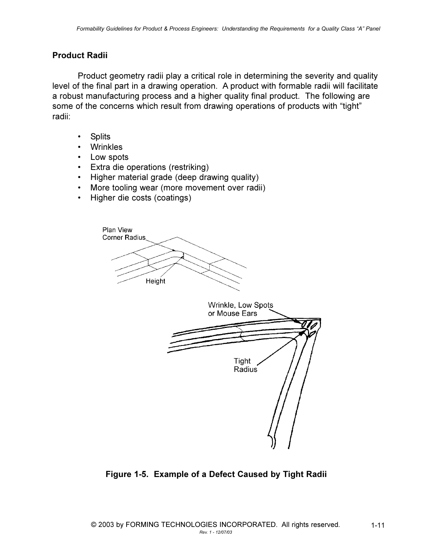## **Product Radii**

Product geometry radii play a critical role in determining the severity and quality level of the final part in a drawing operation. A product with formable radii will facilitate a robust manufacturing process and a higher quality final product. The following are some of the concerns which result from drawing operations of products with "tight" radii:

- **Splits**  $\bullet$
- Wrinkles  $\bullet$
- Low spots
- Extra die operations (restriking)
- Higher material grade (deep drawing quality)
- More tooling wear (more movement over radii)  $\bullet$
- Higher die costs (coatings)  $\bullet$



Figure 1-5. Example of a Defect Caused by Tight Radii